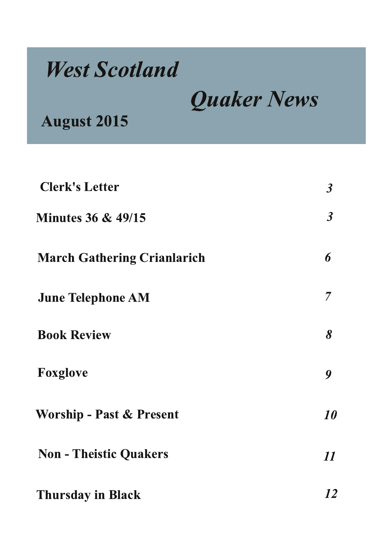

Quaker News

**August 2015** 

| <b>Clerk's Letter</b>               | $\boldsymbol{\beta}$ |
|-------------------------------------|----------------------|
| <b>Minutes 36 &amp; 49/15</b>       | $\boldsymbol{\beta}$ |
| <b>March Gathering Crianlarich</b>  | 6                    |
| <b>June Telephone AM</b>            | 7                    |
| <b>Book Review</b>                  | 8                    |
| <b>Foxglove</b>                     | 9                    |
| <b>Worship - Past &amp; Present</b> | 10                   |
| <b>Non - Theistic Quakers</b>       | 11                   |
| <b>Thursday in Black</b>            | 12                   |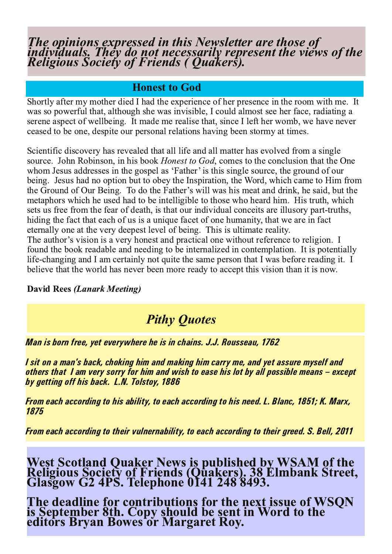### The opinions expressed in this Newsletter are those of individuals. They do not necessarily represent the views of the Religious Society of Friends (Quakers).

## **Honest to God**

Shortly after my mother died I had the experience of her presence in the room with me. It was so powerful that, although she was invisible, I could almost see her face, radiating a serene aspect of wellbeing. It made me realise that, since I left her womb, we have never ceased to be one, despite our personal relations having been stormy at times.

Scientific discovery has revealed that all life and all matter has evolved from a single source. John Robinson, in his book *Honest to God*, comes to the conclusion that the One whom Jesus addresses in the gospel as 'Father' is this single source, the ground of our being. Jesus had no option but to obey the Inspiration, the Word, which came to Him from the Ground of Our Being. To do the Father's will was his meat and drink, he said, but the metaphors which he used had to be intelligible to those who heard him. His truth, which sets us free from the fear of death, is that our individual conceits are illusory part-truths, hiding the fact that each of us is a unique facet of one humanity, that we are in fact eternally one at the very deepest level of being. This is ultimate reality. The author's vision is a very honest and practical one without reference to religion. I found the book readable and needing to be internalized in contemplation. It is potentially life-changing and I am certainly not quite the same person that I was before reading it. I believe that the world has never been more ready to accept this vision than it is now.

#### David Rees (Lanark Meeting)

# **Pithy Quotes**

Man is born free, yet everywhere he is in chains. J.J. Rousseau, 1762

I sit on a man's back, choking him and making him carry me, and yet assure myself and others that I am very sorry for him and wish to ease his lot by all possible means – except by getting off his back. L.N. Tolstoy, 1886

From each according to his ability, to each according to his need. L. Blanc, 1851; K. Marx, 1875

From each according to their vulnernability, to each according to their greed. S. Bell, 2011

West Scotland Quaker News is published by WSAM of the Religious Society of Friends (Quakers). 38 Elmbank Street, Glasgow G2 4PS. Telephone 0141 248 8493.

The deadline for contributions for the next issue of WSON is September 8th. Copy should be sent in Word to the editors Bryan Bowes or Margaret Roy.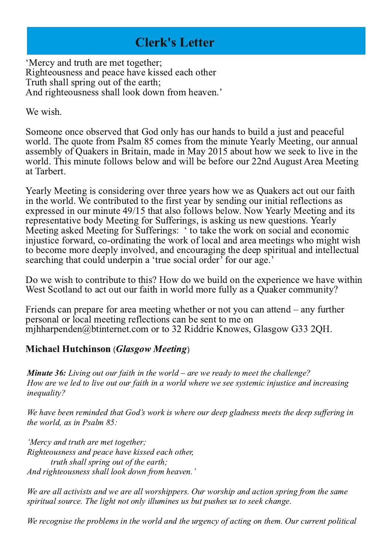# **Clerk's Letter**

'Mercy and truth are met together; Righteousness and peace have kissed each other Truth shall spring out of the earth; And righteousness shall look down from heaven.'

We wish.

Someone once observed that God only has our hands to build a just and peaceful world. The quote from Psalm 85 comes from the minute Yearly Meeting, our annual assembly of Quakers in Britain, made in May 2015 about how we seek to live in the world. This minute follows below and will be before our 22nd August Area Meeting at Tarbert.

Yearly Meeting is considering over three years how we as Quakers act out our faith in the world. We contributed to the first year by sending our initial reflections as expressed in our minute 49/15 that also follows below. Now Yearly Meeting and its representative body Meeting for Sufferings, is asking us new questions. Yearly Meeting asked Meeting for Sufferings: ' to take the work on social and economic injustice forward, co-ordinating the work of local and area meetings who might wish to become more deeply involved, and encouraging the deep spiritual and intellectual searching that could underpin a 'true social order' for our age.'

Do we wish to contribute to this? How do we build on the experience we have within West Scotland to act out our faith in world more fully as a Quaker community?

Friends can prepare for area meeting whether or not you can attend  $-$  any further personal or local meeting reflections can be sent to me on mihharpenden@btinternet.com or to 32 Riddrie Knowes, Glasgow G33 2OH.

### Michael Hutchinson (*Glasgow Meeting*)

**Minute 36:** Living out our faith in the world – are we ready to meet the challenge? How are we led to live out our faith in a world where we see systemic injustice and increasing *inequality?* 

We have been reminded that God's work is where our deep gladness meets the deep suffering in the world, as in Psalm  $85$ :

'Mercy and truth are met together; Righteousness and peace have kissed each other. truth shall spring out of the earth; And righteousness shall look down from heaven.'

We are all activists and we are all worshippers. Our worship and action spring from the same spiritual source. The light not only illumines us but pushes us to seek change.

We recognise the problems in the world and the urgency of acting on them. Our current political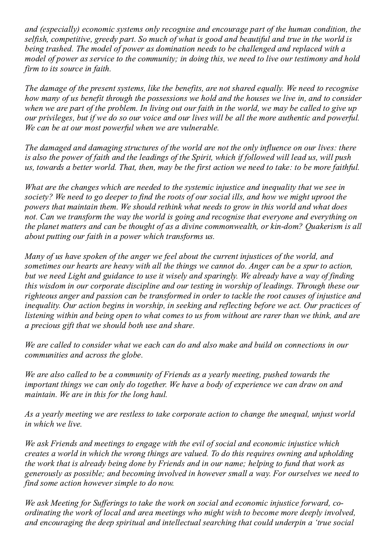and (especially) economic systems only recognise and encourage part of the human condition, the selfish, competitive, greedy part. So much of what is good and beautiful and true in the world is being trashed. The model of power as domination needs to be challenged and replaced with a model of power as service to the community; in doing this, we need to live our testimony and hold firm to its source in faith.

The damage of the present systems, like the benefits, are not shared equally. We need to recognise how many of us benefit through the possessions we hold and the houses we live in, and to consider when we are part of the problem. In living out our faith in the world, we may be called to give up our privileges, but if we do so our voice and our lives will be all the more authentic and powerful. We can be at our most powerful when we are vulnerable.

The damaged and damaging structures of the world are not the only influence on our lives: there is also the power of faith and the leadings of the Spirit, which if followed will lead us, will push us, towards a better world. That, then, may be the first action we need to take: to be more faithful.

What are the changes which are needed to the systemic injustice and inequality that we see in society? We need to go deeper to find the roots of our social ills, and how we might uproot the powers that maintain them. We should rethink what needs to grow in this world and what does not. Can we transform the way the world is going and recognise that everyone and everything on the planet matters and can be thought of as a divine commonwealth, or kin-dom? Ouakerism is all about putting our faith in a power which transforms us.

Many of us have spoken of the anger we feel about the current injustices of the world, and sometimes our hearts are heavy with all the things we cannot do. Anger can be a spur to action, but we need Light and guidance to use it wisely and sparingly. We already have a way of finding this wisdom in our corporate discipline and our testing in worship of leadings. Through these our righteous anger and passion can be transformed in order to tackle the root causes of injustice and inequality. Our action begins in worship, in seeking and reflecting before we act. Our practices of listening within and being open to what comes to us from without are rarer than we think, and are a precious gift that we should both use and share.

We are called to consider what we each can do and also make and build on connections in our communities and across the globe.

We are also called to be a community of Friends as a yearly meeting, pushed towards the important things we can only do together. We have a body of experience we can draw on and maintain. We are in this for the long haul.

As a yearly meeting we are restless to take corporate action to change the unequal, unjust world in which we live.

We ask Friends and meetings to engage with the evil of social and economic injustice which creates a world in which the wrong things are valued. To do this requires owning and upholding the work that is already being done by Friends and in our name; helping to fund that work as generously as possible; and becoming involved in however small a way. For ourselves we need to find some action however simple to do now.

We ask Meeting for Sufferings to take the work on social and economic injustice forward, coordinating the work of local and area meetings who might wish to become more deeply involved, and encouraging the deep spiritual and intellectual searching that could underpin a 'true social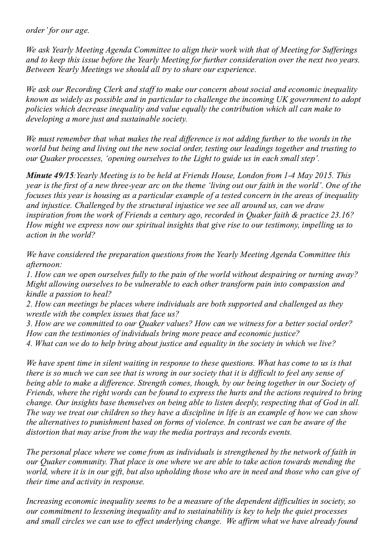order' for our age.

We ask Yearly Meeting Agenda Committee to align their work with that of Meeting for Sufferings and to keep this issue before the Yearly Meeting for further consideration over the next two years. Between Yearly Meetings we should all try to share our experience.

We ask our Recording Clerk and staff to make our concern about social and economic inequality known as widely as possible and in particular to challenge the incoming UK government to adopt policies which decrease inequality and value equally the contribution which all can make to developing a more just and sustainable society.

We must remember that what makes the real difference is not adding further to the words in the world but being and living out the new social order, testing our leadings together and trusting to our Quaker processes, 'opening ourselves to the Light to guide us in each small step'.

**Minute 49/15**: Yearly Meeting is to be held at Friends House, London from 1-4 May 2015. This year is the first of a new three-year arc on the theme 'living out our faith in the world'. One of the focuses this year is housing as a particular example of a tested concern in the areas of inequality and injustice. Challenged by the structural injustice we see all around us, can we draw inspiration from the work of Friends a century ago, recorded in Quaker faith & practice 23.16? How might we express now our spiritual insights that give rise to our testimony, impelling us to action in the world?

We have considered the preparation questions from the Yearly Meeting Agenda Committee this afternoon:

1. How can we open ourselves fully to the pain of the world without despairing or turning away? Might allowing ourselves to be vulnerable to each other transform pain into compassion and kindle a passion to heal?

2. How can meetings be places where individuals are both supported and challenged as they wrestle with the complex issues that face us?

3. How are we committed to our Quaker values? How can we witness for a better social order? How can the testimonies of individuals bring more peace and economic justice?

4. What can we do to help bring about justice and equality in the society in which we live?

We have spent time in silent waiting in response to these questions. What has come to us is that there is so much we can see that is wrong in our society that it is difficult to feel any sense of being able to make a difference. Strength comes, though, by our being together in our Society of Friends, where the right words can be found to express the hurts and the actions required to bring change. Our insights base themselves on being able to listen deeply, respecting that of God in all. The way we treat our children so they have a discipline in life is an example of how we can show the alternatives to punishment based on forms of violence. In contrast we can be aware of the distortion that may arise from the way the media portrays and records events.

The personal place where we come from as individuals is strengthened by the network of faith in our Quaker community. That place is one where we are able to take action towards mending the world, where it is in our gift, but also upholding those who are in need and those who can give of their time and activity in response.

Increasing economic inequality seems to be a measure of the dependent difficulties in society, so our commitment to lessening inequality and to sustainability is key to help the quiet processes and small circles we can use to effect underlying change. We affirm what we have already found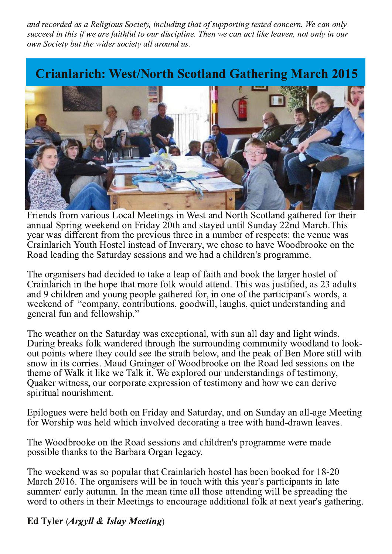and recorded as a Religious Society, including that of supporting tested concern. We can only succeed in this if we are faithful to our discipline. Then we can act like leaven, not only in our own Society but the wider society all around us.

## **Crianlarich: West/North Scotland Gathering March 2015**



Friends from various Local Meetings in West and North Scotland gathered for their annual Spring weekend on Friday 20th and stayed until Sunday 22nd March. This year was different from the previous three in a number of respects: the venue was Crainlarich Youth Hostel instead of Inverary, we chose to have Woodbrooke on the Road leading the Saturday sessions and we had a children's programme.

The organisers had decided to take a leap of faith and book the larger hostel of Crainlarich in the hope that more folk would attend. This was justified, as 23 adults and 9 children and young people gathered for, in one of the participant's words, a weekend of "company, contributions, goodwill, laughs, quiet understanding and general fun and fellowship."

The weather on the Saturday was exceptional, with sun all day and light winds. During breaks folk wandered through the surrounding community woodland to lookout points where they could see the strath below, and the peak of Ben More still with snow in its corries. Maud Grainger of Woodbrooke on the Road led sessions on the theme of Walk it like we Talk it. We explored our understandings of testimony, Quaker witness, our corporate expression of testimony and how we can derive spiritual nourishment.

Epilogues were held both on Friday and Saturday, and on Sunday an all-age Meeting for Worship was held which involved decorating a tree with hand-drawn leaves.

The Woodbrooke on the Road sessions and children's programme were made possible thanks to the Barbara Organ legacy.

The weekend was so popular that Crainlarich hostel has been booked for 18-20 March 2016. The organisers will be in touch with this year's participants in late summer/ early autumn. In the mean time all those attending will be spreading the word to others in their Meetings to encourage additional folk at next year's gathering.

## **Ed Tyler (Argyll & Islay Meeting)**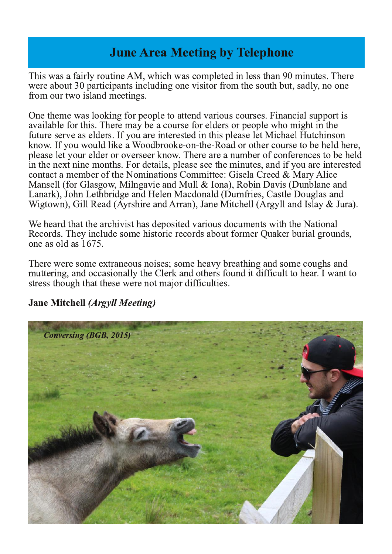# **June Area Meeting by Telephone**

This was a fairly routine AM, which was completed in less than 90 minutes. There were about 30 participants including one visitor from the south but, sadly, no one from our two island meetings.

One theme was looking for people to attend various courses. Financial support is available for this. There may be a course for elders or people who might in the future serve as elders. If you are interested in this please let Michael Hutchinson know. If you would like a Woodbrooke-on-the-Road or other course to be held here, please let your elder or overseer know. There are a number of conferences to be held in the next nine months. For details, please see the minutes, and if you are interested contact a member of the Nominations Committee: Gisela Creed & Mary Alice Mansell (for Glasgow, Milngavie and Mull & Iona), Robin Davis (Dunblane and Lanark), John Lethbridge and Helen Macdonald (Dumfries, Castle Douglas and Wigtown), Gill Read (Ayrshire and Arran), Jane Mitchell (Argyll and Islay & Jura).

We heard that the archivist has deposited various documents with the National Records. They include some historic records about former Quaker burial grounds, one as old as 1675.

There were some extraneous noises; some heavy breathing and some coughs and muttering, and occasionally the Clerk and others found it difficult to hear. I want to stress though that these were not major difficulties.

### **Jane Mitchell (Argyll Meeting)**

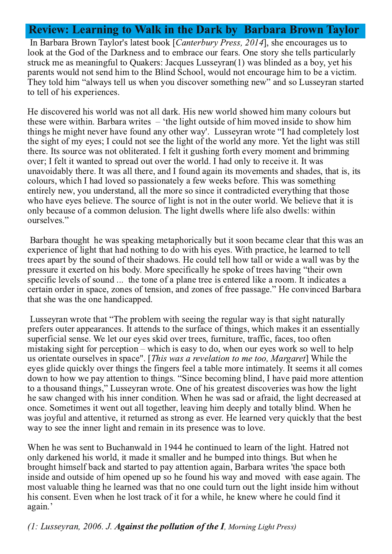## **Review: Learning to Walk in the Dark by Barbara Brown Taylor**

In Barbara Brown Taylor's latest book [Canterbury Press, 2014], she encourages us to look at the God of the Darkness and to embrace our fears. One story she tells particularly struck me as meaningful to Quakers: Jacques Lusseyran(1) was blinded as a boy, yet his parents would not send him to the Blind School, would not encourage him to be a victim. They told him "always tell us when you discover something new" and so Lusseyran started to tell of his experiences.

He discovered his world was not all dark. His new world showed him many colours but these were within. Barbara writes  $-$  'the light outside of him moved inside to show him things he might never have found any other way'. Lusseyran wrote "I had completely lost the sight of my eyes; I could not see the light of the world any more. Yet the light was still there. Its source was not obliterated. I felt it gushing forth every moment and brimming over; I felt it wanted to spread out over the world. I had only to receive it. It was unavoidably there. It was all there, and I found again its movements and shades, that is, its colours, which I had loved so passionately a few weeks before. This was something entirely new, you understand, all the more so since it contradicted everything that those who have eyes believe. The source of light is not in the outer world. We believe that it is only because of a common delusion. The light dwells where life also dwells: within ourselves."

Barbara thought he was speaking metaphorically but it soon became clear that this was an experience of light that had nothing to do with his eyes. With practice, he learned to tell trees apart by the sound of their shadows. He could tell how tall or wide a wall was by the pressure it exerted on his body. More specifically he spoke of trees having "their own specific levels of sound ... the tone of a plane tree is entered like a room. It indicates a certain order in space, zones of tension, and zones of free passage." He convinced Barbara that she was the one handicapped.

Lusseyran wrote that "The problem with seeing the regular way is that sight naturally prefers outer appearances. It attends to the surface of things, which makes it an essentially superficial sense. We let our eyes skid over trees, furniture, traffic, faces, too often mistaking sight for perception – which is easy to do, when our eyes work so well to help us orientate ourselves in space". [This was a revelation to me too, Margaret] While the eves glide quickly over things the fingers feel a table more intimately. It seems it all comes down to how we pay attention to things. "Since becoming blind, I have paid more attention to a thousand things," Lusseyran wrote. One of his greatest discoveries was how the light he saw changed with his inner condition. When he was sad or afraid, the light decreased at once. Sometimes it went out all together, leaving him deeply and totally blind. When he was joyful and attentive, it returned as strong as ever. He learned very quickly that the best way to see the inner light and remain in its presence was to love.

When he was sent to Buchanwald in 1944 he continued to learn of the light. Hatred not only darkened his world, it made it smaller and he bumped into things. But when he brought himself back and started to pay attention again, Barbara writes 'the space both inside and outside of him opened up so he found his way and moved with ease again. The most valuable thing he learned was that no one could turn out the light inside him without his consent. Even when he lost track of it for a while, he knew where he could find it again.'

 $(1: Lusseyran, 2006. J. Again, the pollution of the I, Morning Light Press)$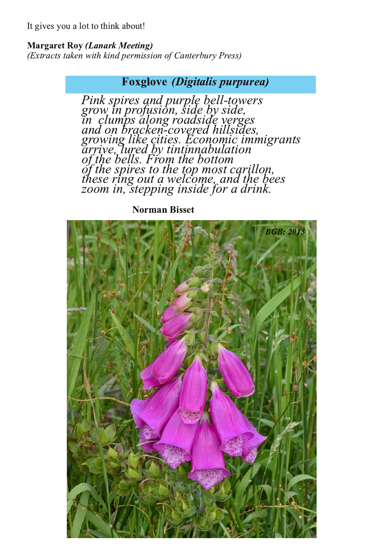It gives you a lot to think about!

#### **Margaret Roy (Lanark Meeting)**

(Extracts taken with kind permission of Canterbury Press)

## **Foxglove (Digitalis purpurea)**

Pink spires and purple bell-towers<br>grow in profusion, side by side,<br>in clumps along roadside verges<br>and on bracken-covered hillsides,<br>growing like cities. Economic immigrants<br>arrive, lured by tintinnabulation<br>of the bells.

#### **Norman Bisset**

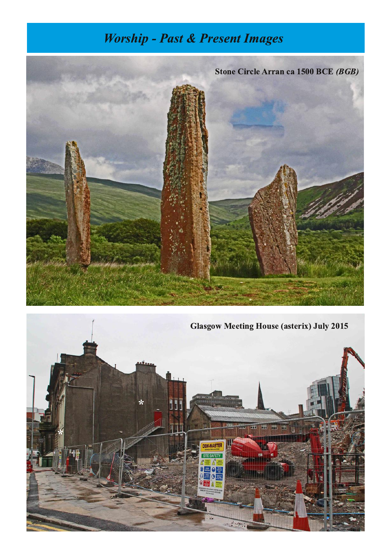# **Worship - Past & Present Images**



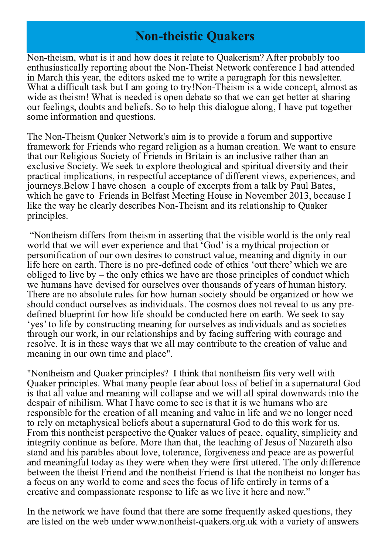## **Non-theistic Quakers**

Non-theism, what is it and how does it relate to Quakerism? After probably too enthusiastically reporting about the Non-Theist Network conference I had attended in March this year, the editors asked me to write a paragraph for this newsletter. What a difficult task but I am going to try!Non-Theism is a wide concept, almost as wide as theism! What is needed is open debate so that we can get better at sharing our feelings, doubts and beliefs. So to help this dialogue along, I have put together some information and questions.

The Non-Theism Quaker Network's aim is to provide a forum and supportive framework for Friends who regard religion as a human creation. We want to ensure that our Religious Society of Friends in Britain is an inclusive rather than an exclusive Society. We seek to explore theological and spiritual diversity and their practical implications, in respectful acceptance of different views, experiences, and journeys. Below I have chosen a couple of excerpts from a talk by Paul Bates, which he gave to Friends in Belfast Meeting House in November 2013, because I like the way he clearly describes Non-Theism and its relationship to Quaker principles.

"Nontheism differs from theism in asserting that the visible world is the only real world that we will ever experience and that 'God' is a mythical projection or personification of our own desires to construct value, meaning and dignity in our life here on earth. There is no pre-defined code of ethics 'out there' which we are obliged to live by  $-$  the only ethics we have are those principles of conduct which we humans have devised for ourselves over thousands of years of human history. There are no absolute rules for how human society should be organized or how we should conduct ourselves as individuals. The cosmos does not reveal to us any predefined blueprint for how life should be conducted here on earth. We seek to say 'yes' to life by constructing meaning for ourselves as individuals and as societies through our work, in our relationships and by facing suffering with courage and resolve. It is in these ways that we all may contribute to the creation of value and meaning in our own time and place".

"Nontheism and Quaker principles? I think that nontheism fits very well with Quaker principles. What many people fear about loss of belief in a supernatural God is that all value and meaning will collapse and we will all spiral downwards into the despair of nihilism. What I have come to see is that it is we humans who are responsible for the creation of all meaning and value in life and we no longer need to rely on metaphysical beliefs about a supernatural God to do this work for us. From this nontheist perspective the Quaker values of peace, equality, simplicity and integrity continue as before. More than that, the teaching of Jesus of Nazareth also stand and his parables about love, tolerance, forgiveness and peace are as powerful and meaningful today as they were when they were first uttered. The only difference between the theist Friend and the nontheist Friend is that the nontheist no longer has a focus on any world to come and sees the focus of life entirely in terms of a creative and compassionate response to life as we live it here and now."

In the network we have found that there are some frequently asked questions, they are listed on the web under www.nontheist-quakers.org.uk with a variety of answers